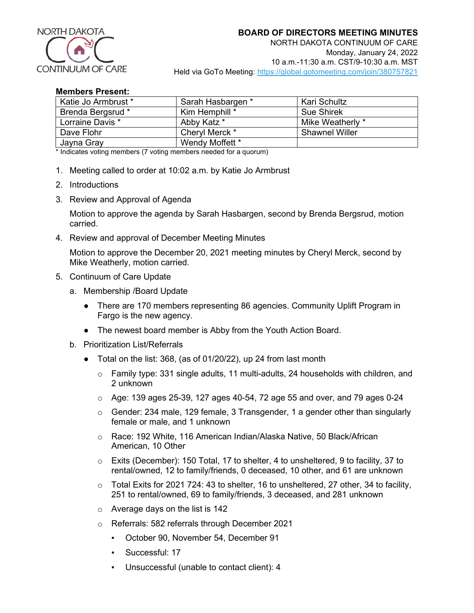

## **Members Present:**

| Katie Jo Armbrust * | Sarah Hasbargen * | Kari Schultz          |
|---------------------|-------------------|-----------------------|
| Brenda Bergsrud *   | Kim Hemphill *    | <b>Sue Shirek</b>     |
| Lorraine Davis *    | Abby Katz *       | Mike Weatherly *      |
| Dave Flohr          | Cheryl Merck *    | <b>Shawnel Willer</b> |
| Jayna Gray          | Wendy Moffett *   |                       |

\* Indicates voting members (7 voting members needed for a quorum)

- 1. Meeting called to order at 10:02 a.m. by Katie Jo Armbrust
- 2. Introductions
- 3. Review and Approval of Agenda

Motion to approve the agenda by Sarah Hasbargen, second by Brenda Bergsrud, motion carried.

4. Review and approval of December Meeting Minutes

Motion to approve the December 20, 2021 meeting minutes by Cheryl Merck, second by Mike Weatherly, motion carried.

- 5. Continuum of Care Update
	- a. Membership /Board Update
		- There are 170 members representing 86 agencies. Community Uplift Program in Fargo is the new agency.
		- The newest board member is Abby from the Youth Action Board.
	- b. Prioritization List/Referrals
		- Total on the list: 368, (as of 01/20/22), up 24 from last month
			- $\circ$  Family type: 331 single adults, 11 multi-adults, 24 households with children, and 2 unknown
			- $\circ$  Age: 139 ages 25-39, 127 ages 40-54, 72 age 55 and over, and 79 ages 0-24
			- $\circ$  Gender: 234 male, 129 female, 3 Transgender, 1 a gender other than singularly female or male, and 1 unknown
			- o Race: 192 White, 116 American Indian/Alaska Native, 50 Black/African American, 10 Other
			- $\circ$  Exits (December): 150 Total, 17 to shelter, 4 to unsheltered, 9 to facility, 37 to rental/owned, 12 to family/friends, 0 deceased, 10 other, and 61 are unknown
			- o Total Exits for 2021 724: 43 to shelter, 16 to unsheltered, 27 other, 34 to facility, 251 to rental/owned, 69 to family/friends, 3 deceased, and 281 unknown
			- $\circ$  Average days on the list is 142
			- o Referrals: 582 referrals through December 2021
				- October 90, November 54, December 91
				- Successful: 17
				- Unsuccessful (unable to contact client): 4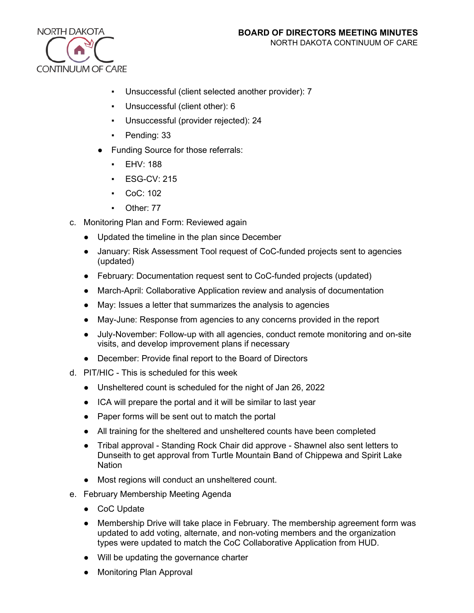

- Unsuccessful (client selected another provider): 7
- Unsuccessful (client other): 6
- Unsuccessful (provider rejected): 24
- Pending: 33
- Funding Source for those referrals:
	- EHV: 188
	- **ESG-CV: 215**
	- CoC: 102
	- Other: 77
- c. Monitoring Plan and Form: Reviewed again
	- Updated the timeline in the plan since December
	- January: Risk Assessment Tool request of CoC-funded projects sent to agencies (updated)
	- February: Documentation request sent to CoC-funded projects (updated)
	- March-April: Collaborative Application review and analysis of documentation
	- May: Issues a letter that summarizes the analysis to agencies
	- May-June: Response from agencies to any concerns provided in the report
	- July-November: Follow-up with all agencies, conduct remote monitoring and on-site visits, and develop improvement plans if necessary
	- December: Provide final report to the Board of Directors
- d. PIT/HIC This is scheduled for this week
	- Unsheltered count is scheduled for the night of Jan 26, 2022
	- ICA will prepare the portal and it will be similar to last year
	- Paper forms will be sent out to match the portal
	- All training for the sheltered and unsheltered counts have been completed
	- Tribal approval Standing Rock Chair did approve Shawnel also sent letters to Dunseith to get approval from Turtle Mountain Band of Chippewa and Spirit Lake **Nation**
	- Most regions will conduct an unsheltered count.
- e. February Membership Meeting Agenda
	- CoC Update
	- Membership Drive will take place in February. The membership agreement form was updated to add voting, alternate, and non-voting members and the organization types were updated to match the CoC Collaborative Application from HUD.
	- Will be updating the governance charter
	- Monitoring Plan Approval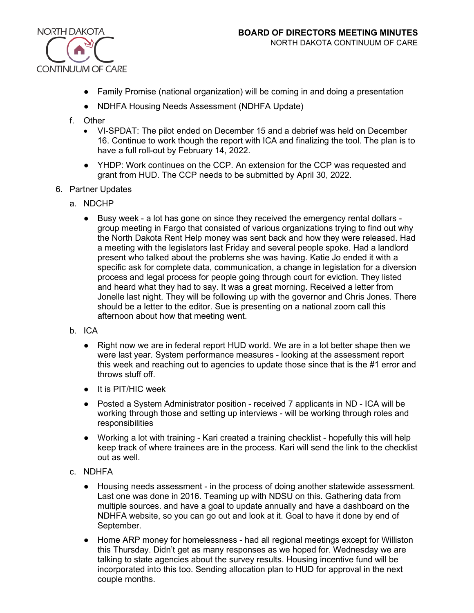

- Family Promise (national organization) will be coming in and doing a presentation
- NDHFA Housing Needs Assessment (NDHFA Update)
- f. Other
	- VI-SPDAT: The pilot ended on December 15 and a debrief was held on December 16. Continue to work though the report with ICA and finalizing the tool. The plan is to have a full roll-out by February 14, 2022.
	- YHDP: Work continues on the CCP. An extension for the CCP was requested and grant from HUD. The CCP needs to be submitted by April 30, 2022.
- 6. Partner Updates
	- a. NDCHP
		- Busy week a lot has gone on since they received the emergency rental dollars group meeting in Fargo that consisted of various organizations trying to find out why the North Dakota Rent Help money was sent back and how they were released. Had a meeting with the legislators last Friday and several people spoke. Had a landlord present who talked about the problems she was having. Katie Jo ended it with a specific ask for complete data, communication, a change in legislation for a diversion process and legal process for people going through court for eviction. They listed and heard what they had to say. It was a great morning. Received a letter from Jonelle last night. They will be following up with the governor and Chris Jones. There should be a letter to the editor. Sue is presenting on a national zoom call this afternoon about how that meeting went.
	- b. ICA
		- Right now we are in federal report HUD world. We are in a lot better shape then we were last year. System performance measures - looking at the assessment report this week and reaching out to agencies to update those since that is the #1 error and throws stuff off.
		- It is PIT/HIC week
		- Posted a System Administrator position received 7 applicants in ND ICA will be working through those and setting up interviews - will be working through roles and responsibilities
		- Working a lot with training Kari created a training checklist hopefully this will help keep track of where trainees are in the process. Kari will send the link to the checklist out as well.
	- c. NDHFA
		- Housing needs assessment in the process of doing another statewide assessment. Last one was done in 2016. Teaming up with NDSU on this. Gathering data from multiple sources. and have a goal to update annually and have a dashboard on the NDHFA website, so you can go out and look at it. Goal to have it done by end of September.
		- Home ARP money for homelessness had all regional meetings except for Williston this Thursday. Didn't get as many responses as we hoped for. Wednesday we are talking to state agencies about the survey results. Housing incentive fund will be incorporated into this too. Sending allocation plan to HUD for approval in the next couple months.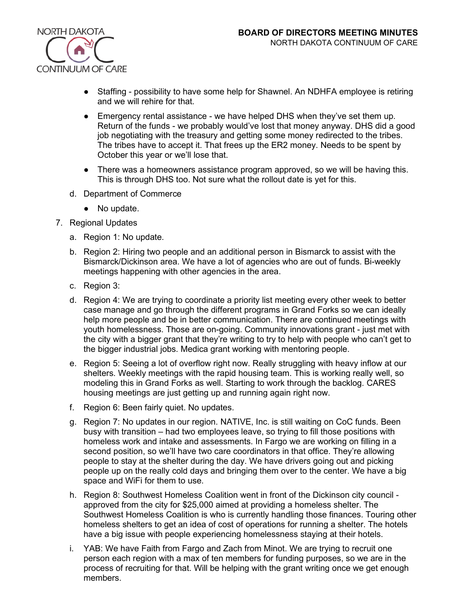

- Staffing possibility to have some help for Shawnel. An NDHFA employee is retiring and we will rehire for that.
- Emergency rental assistance we have helped DHS when they've set them up. Return of the funds - we probably would've lost that money anyway. DHS did a good job negotiating with the treasury and getting some money redirected to the tribes. The tribes have to accept it. That frees up the ER2 money. Needs to be spent by October this year or we'll lose that.
- There was a homeowners assistance program approved, so we will be having this. This is through DHS too. Not sure what the rollout date is yet for this.
- d. Department of Commerce
	- No update.
- 7. Regional Updates
	- a. Region 1: No update.
	- b. Region 2: Hiring two people and an additional person in Bismarck to assist with the Bismarck/Dickinson area. We have a lot of agencies who are out of funds. Bi-weekly meetings happening with other agencies in the area.
	- c. Region 3:
	- d. Region 4: We are trying to coordinate a priority list meeting every other week to better case manage and go through the different programs in Grand Forks so we can ideally help more people and be in better communication. There are continued meetings with youth homelessness. Those are on-going. Community innovations grant - just met with the city with a bigger grant that they're writing to try to help with people who can't get to the bigger industrial jobs. Medica grant working with mentoring people.
	- e. Region 5: Seeing a lot of overflow right now. Really struggling with heavy inflow at our shelters. Weekly meetings with the rapid housing team. This is working really well, so modeling this in Grand Forks as well. Starting to work through the backlog. CARES housing meetings are just getting up and running again right now.
	- f. Region 6: Been fairly quiet. No updates.
	- g. Region 7: No updates in our region. NATIVE, Inc. is still waiting on CoC funds. Been busy with transition – had two employees leave, so trying to fill those positions with homeless work and intake and assessments. In Fargo we are working on filling in a second position, so we'll have two care coordinators in that office. They're allowing people to stay at the shelter during the day. We have drivers going out and picking people up on the really cold days and bringing them over to the center. We have a big space and WiFi for them to use.
	- h. Region 8: Southwest Homeless Coalition went in front of the Dickinson city council approved from the city for \$25,000 aimed at providing a homeless shelter. The Southwest Homeless Coalition is who is currently handling those finances. Touring other homeless shelters to get an idea of cost of operations for running a shelter. The hotels have a big issue with people experiencing homelessness staying at their hotels.
	- i. YAB: We have Faith from Fargo and Zach from Minot. We are trying to recruit one person each region with a max of ten members for funding purposes, so we are in the process of recruiting for that. Will be helping with the grant writing once we get enough members.